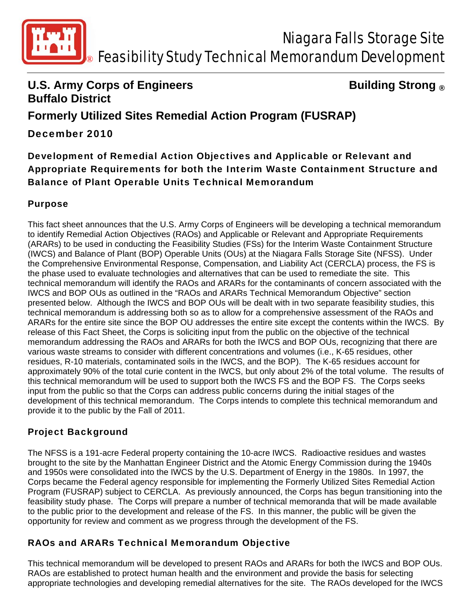

## **U.S. Army Corps of Engineers Constrained Building Strong ® Buffalo District**

# **Formerly Utilized Sites Remedial Action Program (FUSRAP)**

December 2010

Development of Remedial Action Objectives and Applicable or Relevant and Appropriate Requirements for both the Interim Waste Containment Structure and Balance of Plant Operable Units Technical Memorandum

### Purpose

This fact sheet announces that the U.S. Army Corps of Engineers will be developing a technical memorandum to identify Remedial Action Objectives (RAOs) and Applicable or Relevant and Appropriate Requirements (ARARs) to be used in conducting the Feasibility Studies (FSs) for the Interim Waste Containment Structure (IWCS) and Balance of Plant (BOP) Operable Units (OUs) at the Niagara Falls Storage Site (NFSS). Under the Comprehensive Environmental Response, Compensation, and Liability Act (CERCLA) process, the FS is the phase used to evaluate technologies and alternatives that can be used to remediate the site. This technical memorandum will identify the RAOs and ARARs for the contaminants of concern associated with the IWCS and BOP OUs as outlined in the "RAOs and ARARs Technical Memorandum Objective" section presented below. Although the IWCS and BOP OUs will be dealt with in two separate feasibility studies, this technical memorandum is addressing both so as to allow for a comprehensive assessment of the RAOs and ARARs for the entire site since the BOP OU addresses the entire site except the contents within the IWCS. By release of this Fact Sheet, the Corps is soliciting input from the public on the objective of the technical memorandum addressing the RAOs and ARARs for both the IWCS and BOP OUs, recognizing that there are various waste streams to consider with different concentrations and volumes (i.e., K-65 residues, other residues, R-10 materials, contaminated soils in the IWCS, and the BOP). The K-65 residues account for approximately 90% of the total curie content in the IWCS, but only about 2% of the total volume. The results of this technical memorandum will be used to support both the IWCS FS and the BOP FS. The Corps seeks input from the public so that the Corps can address public concerns during the initial stages of the development of this technical memorandum. The Corps intends to complete this technical memorandum and provide it to the public by the Fall of 2011.

### Project Background

The NFSS is a 191-acre Federal property containing the 10-acre IWCS. Radioactive residues and wastes brought to the site by the Manhattan Engineer District and the Atomic Energy Commission during the 1940s and 1950s were consolidated into the IWCS by the U.S. Department of Energy in the 1980s. In 1997, the Corps became the Federal agency responsible for implementing the Formerly Utilized Sites Remedial Action Program (FUSRAP) subject to CERCLA. As previously announced, the Corps has begun transitioning into the feasibility study phase. The Corps will prepare a number of technical memoranda that will be made available to the public prior to the development and release of the FS. In this manner, the public will be given the opportunity for review and comment as we progress through the development of the FS.

### RAOs and ARARs Technical Memorandum Objective

This technical memorandum will be developed to present RAOs and ARARs for both the IWCS and BOP OUs. RAOs are established to protect human health and the environment and provide the basis for selecting appropriate technologies and developing remedial alternatives for the site. The RAOs developed for the IWCS